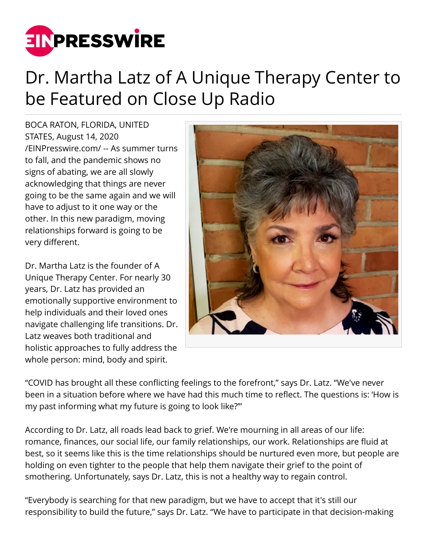

## Dr. Martha Latz of A Unique Therapy Center to be Featured on Close Up Radio

BOCA RATON, FLORIDA, UNITED STATES, August 14, 2020 [/EINPresswire.com/](http://www.einpresswire.com) -- As summer turns to fall, and the pandemic shows no signs of abating, we are all slowly acknowledging that things are never going to be the same again and we will have to adjust to it one way or the other. In this new paradigm, moving relationships forward is going to be very different.

Dr. Martha Latz is the founder of A Unique Therapy Center. For nearly 30 years, Dr. Latz has provided an emotionally supportive environment to help individuals and their loved ones navigate challenging life transitions. Dr. Latz weaves both traditional and holistic approaches to fully address the whole person: mind, body and spirit.



"COVID has brought all these conflicting feelings to the forefront," says Dr. Latz. "We've never been in a situation before where we have had this much time to reflect. The questions is: 'How is my past informing what my future is going to look like?'"

According to Dr. Latz, all roads lead back to grief. We're mourning in all areas of our life: romance, finances, our social life, our family relationships, our work. Relationships are fluid at best, so it seems like this is the time relationships should be nurtured even more, but people are holding on even tighter to the people that help them navigate their grief to the point of smothering. Unfortunately, says Dr. Latz, this is not a healthy way to regain control.

"Everybody is searching for that new paradigm, but we have to accept that it's still our responsibility to build the future," says Dr. Latz. "We have to participate in that decision-making